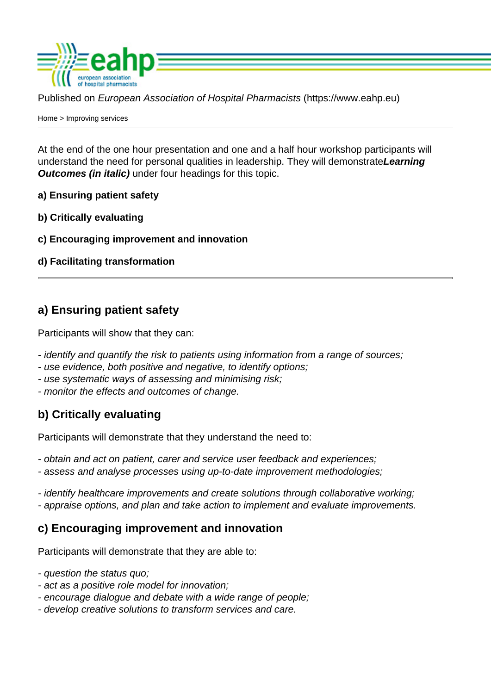Published on European Association of Hospital Pharmacists (https://www.eahp.eu)

Home > Improving services

At the end of the one hour presentation and one and a half hour workshop participants will [unde](https://www.eahp.eu/)rstand the need for personal qualities in leadership. They will demonstrateLearning Outcomes (in italic) under four headings for this topic.

- a) Ensuring patient safety
- b) Critically evaluating
- c) Encouraging improvement and innovation
- d) Facilitating transformation

## a) Ensuring patient safety

Participants will show that they can:

- identify and quantify the risk to patients using information from a range of sources;
- use evidence, both positive and negative, to identify options;
- use systematic ways of assessing and minimising risk;
- monitor the effects and outcomes of change.

## b) Critically evaluating

Participants will demonstrate that they understand the need to:

- obtain and act on patient, carer and service user feedback and experiences;
- assess and analyse processes using up-to-date improvement methodologies;
- identify healthcare improvements and create solutions through collaborative working; - appraise options, and plan and take action to implement and evaluate improvements.

c) Encouraging improvement and innovation

Participants will demonstrate that they are able to:

- question the status quo;
- act as a positive role model for innovation;
- encourage dialogue and debate with a wide range of people;
- develop creative solutions to transform services and care.